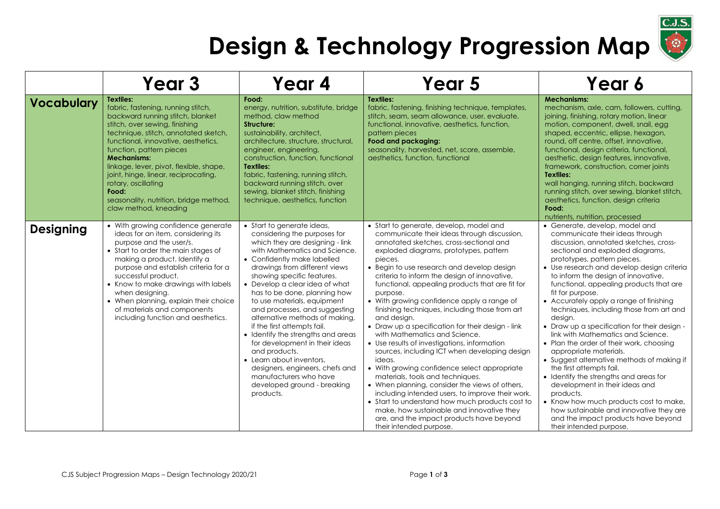## **Design & Technology Progression Map**

|                   | Year <sub>3</sub>                                                                                                                                                                                                                                                                                                                                                                                                                                   | Year 4                                                                                                                                                                                                                                                                                                                                                                                                                                                                                                                                                                                                                                                        | Year 5                                                                                                                                                                                                                                                                                                                                                                                                                                                                                                                                                                                                                                                                                                                                                                                                                                                                                                                                                                                                                               | Year 6                                                                                                                                                                                                                                                                                                                                                                                                                                                                                                                                                                                                                                                                                                                                                                                                                                                                                                                     |
|-------------------|-----------------------------------------------------------------------------------------------------------------------------------------------------------------------------------------------------------------------------------------------------------------------------------------------------------------------------------------------------------------------------------------------------------------------------------------------------|---------------------------------------------------------------------------------------------------------------------------------------------------------------------------------------------------------------------------------------------------------------------------------------------------------------------------------------------------------------------------------------------------------------------------------------------------------------------------------------------------------------------------------------------------------------------------------------------------------------------------------------------------------------|--------------------------------------------------------------------------------------------------------------------------------------------------------------------------------------------------------------------------------------------------------------------------------------------------------------------------------------------------------------------------------------------------------------------------------------------------------------------------------------------------------------------------------------------------------------------------------------------------------------------------------------------------------------------------------------------------------------------------------------------------------------------------------------------------------------------------------------------------------------------------------------------------------------------------------------------------------------------------------------------------------------------------------------|----------------------------------------------------------------------------------------------------------------------------------------------------------------------------------------------------------------------------------------------------------------------------------------------------------------------------------------------------------------------------------------------------------------------------------------------------------------------------------------------------------------------------------------------------------------------------------------------------------------------------------------------------------------------------------------------------------------------------------------------------------------------------------------------------------------------------------------------------------------------------------------------------------------------------|
| <b>Vocabulary</b> | <b>Textiles:</b><br>fabric, fastening, running stitch,<br>backward running stitch, blanket<br>stitch, over sewing, finishing<br>technique, stitch, annotated sketch,<br>functional, innovative, aesthetics,<br>function, pattern pieces<br><b>Mechanisms:</b><br>linkage, lever, pivot, flexible, shape,<br>joint, hinge, linear, reciprocating,<br>rotary, oscillating<br>Food:<br>seasonality, nutrition, bridge method,<br>claw method, kneading | Food:<br>energy, nutrition, substitute, bridge<br>method, claw method<br>Structure:<br>sustainability, architect,<br>architecture, structure, structural,<br>engineer, engineering,<br>construction, function, functional<br><b>Textiles:</b><br>fabric, fastening, running stitch,<br>backward running stitch, over<br>sewing, blanket stitch, finishing<br>technique, aesthetics, function                                                                                                                                                                                                                                                                  | Textiles:<br>fabric, fastening, finishing technique, templates,<br>stitch, seam, seam allowance, user, evaluate,<br>functional, innovative, aesthetics, function,<br>pattern pieces<br>Food and packaging:<br>seasonality, harvested, net, score, assemble,<br>aesthetics, function, functional                                                                                                                                                                                                                                                                                                                                                                                                                                                                                                                                                                                                                                                                                                                                      | <b>Mechanisms:</b><br>mechanism, axle, cam, followers, cutting,<br>joining, finishing, rotary motion, linear<br>motion, component, dwell, snail, egg<br>shaped, eccentric, ellipse, hexagon,<br>round, off centre, offset, innovative,<br>functional, design criteria, functional,<br>aesthetic, design features, innovative,<br>framework, construction, corner joints<br>Textiles:<br>wall hanging, running stitch, backward<br>running stitch, over sewing, blanket stitch,<br>aesthetics, function, design criteria<br>Food:<br>nutrients, nutrition, processed                                                                                                                                                                                                                                                                                                                                                        |
| <b>Designing</b>  | • With growing confidence generate<br>ideas for an item, considering its<br>purpose and the user/s.<br>• Start to order the main stages of<br>making a product. Identify a<br>purpose and establish criteria for a<br>successful product.<br>• Know to make drawings with labels<br>when designing.<br>• When planning, explain their choice<br>of materials and components<br>including function and aesthetics.                                   | • Start to generate ideas,<br>considering the purposes for<br>which they are designing - link<br>with Mathematics and Science.<br>• Confidently make labelled<br>drawings from different views<br>showing specific features.<br>• Develop a clear idea of what<br>has to be done, planning how<br>to use materials, equipment<br>and processes, and suggesting<br>alternative methods of making,<br>if the first attempts fail.<br>• Identify the strengths and areas<br>for development in their ideas<br>and products.<br>• Learn about inventors.<br>designers, engineers, chefs and<br>manufacturers who have<br>developed ground - breaking<br>products. | • Start to generate, develop, model and<br>communicate their ideas through discussion,<br>annotated sketches, cross-sectional and<br>exploded diagrams, prototypes, pattern<br>pieces.<br>• Begin to use research and develop design<br>criteria to inform the design of innovative,<br>functional, appealing products that are fit for<br>purpose.<br>• With growing confidence apply a range of<br>finishing techniques, including those from art<br>and design.<br>• Draw up a specification for their design - link<br>with Mathematics and Science.<br>• Use results of investigations, information<br>sources, including ICT when developing design<br>ideas.<br>• With growing confidence select appropriate<br>materials, tools and techniques.<br>• When planning, consider the views of others,<br>including intended users, to improve their work.<br>• Start to understand how much products cost to<br>make, how sustainable and innovative they<br>are, and the impact products have beyond<br>their intended purpose. | • Generate, develop, model and<br>communicate their ideas through<br>discussion, annotated sketches, cross-<br>sectional and exploded diagrams,<br>prototypes, pattern pieces.<br>• Use research and develop design criteria<br>to inform the design of innovative,<br>functional, appealing products that are<br>fit for purpose.<br>• Accurately apply a range of finishing<br>techniques, including those from art and<br>design.<br>• Draw up a specification for their design -<br>link with Mathematics and Science.<br>• Plan the order of their work, choosing<br>appropriate materials.<br>• Suggest alternative methods of making if<br>the first attempts fail.<br>• Identify the strengths and areas for<br>development in their ideas and<br>products.<br>• Know how much products cost to make,<br>how sustainable and innovative they are<br>and the impact products have beyond<br>their intended purpose. |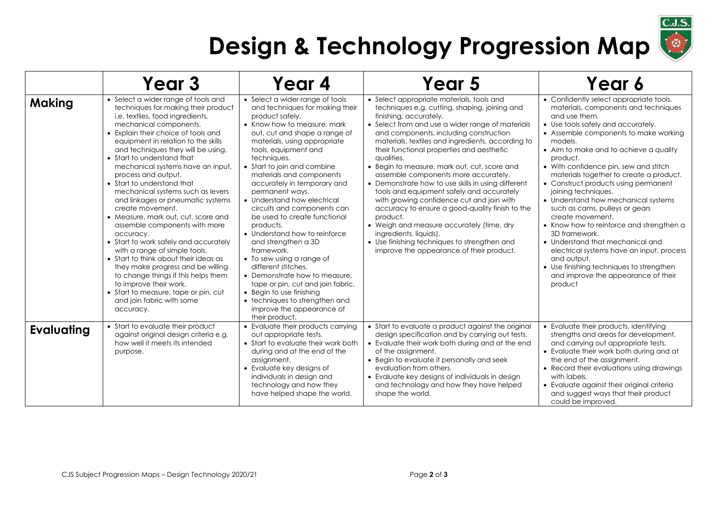

## **Design & Technology Progression Map**

|               | Year <sub>3</sub>                                                                                                                                                                                                                                                                                                                                                                                                                                                                                                                                                                                                                                                                                                                                                                                                                                                                  | Year 4                                                                                                                                                                                                                                                                                                                                                                                                                                                                                                                                                                                                                                                                                                                                                            | Year 5                                                                                                                                                                                                                                                                                                                                                                                                                                                                                                                                                                                                                                                                                                                                                                                                       | Year 6                                                                                                                                                                                                                                                                                                                                                                                                                                                                                                                                                                                                                                                                                                                                                      |
|---------------|------------------------------------------------------------------------------------------------------------------------------------------------------------------------------------------------------------------------------------------------------------------------------------------------------------------------------------------------------------------------------------------------------------------------------------------------------------------------------------------------------------------------------------------------------------------------------------------------------------------------------------------------------------------------------------------------------------------------------------------------------------------------------------------------------------------------------------------------------------------------------------|-------------------------------------------------------------------------------------------------------------------------------------------------------------------------------------------------------------------------------------------------------------------------------------------------------------------------------------------------------------------------------------------------------------------------------------------------------------------------------------------------------------------------------------------------------------------------------------------------------------------------------------------------------------------------------------------------------------------------------------------------------------------|--------------------------------------------------------------------------------------------------------------------------------------------------------------------------------------------------------------------------------------------------------------------------------------------------------------------------------------------------------------------------------------------------------------------------------------------------------------------------------------------------------------------------------------------------------------------------------------------------------------------------------------------------------------------------------------------------------------------------------------------------------------------------------------------------------------|-------------------------------------------------------------------------------------------------------------------------------------------------------------------------------------------------------------------------------------------------------------------------------------------------------------------------------------------------------------------------------------------------------------------------------------------------------------------------------------------------------------------------------------------------------------------------------------------------------------------------------------------------------------------------------------------------------------------------------------------------------------|
| <b>Making</b> | • Select a wider range of tools and<br>techniques for making their product<br>i.e. textiles, food ingredients,<br>mechanical components.<br>• Explain their choice of tools and<br>equipment in relation to the skills<br>and techniques they will be using.<br>• Start to understand that<br>mechanical systems have an input,<br>process and output.<br>• Start to understand that<br>mechanical systems such as levers<br>and linkages or pneumatic systems<br>create movement.<br>• Measure, mark out, cut, score and<br>assemble components with more<br>accuracy.<br>• Start to work safely and accurately<br>with a range of simple tools.<br>• Start to think about their ideas as<br>they make progress and be willing<br>to change things if this helps them<br>to improve their work.<br>• Start to measure, tape or pin, cut<br>and join fabric with some<br>accuracy. | • Select a wider range of tools<br>and techniques for making their<br>product safely.<br>• Know how to measure, mark<br>out, cut and shape a range of<br>materials, using appropriate<br>tools, equipment and<br>techniques.<br>• Start to join and combine<br>materials and components<br>accurately in temporary and<br>permanent ways.<br>• Understand how electrical<br>circuits and components can<br>be used to create functional<br>products.<br>• Understand how to reinforce<br>and strengthen a 3D<br>framework.<br>• To sew using a range of<br>different stitches.<br>• Demonstrate how to measure,<br>tape or pin, cut and join fabric.<br>• Begin to use finishing<br>• techniques to strengthen and<br>improve the appearance of<br>their product. | • Select appropriate materials, tools and<br>techniques e.g. cutting, shaping, joining and<br>finishing, accurately.<br>• Select from and use a wider range of materials<br>and components, including construction<br>materials, textiles and ingredients, according to<br>their functional properties and aesthetic<br>qualities.<br>• Begin to measure, mark out, cut, score and<br>assemble components more accurately.<br>• Demonstrate how to use skills in using different<br>tools and equipment safely and accurately<br>with growing confidence cut and join with<br>accuracy to ensure a good-quality finish to the<br>product.<br>• Weigh and measure accurately (time, dry<br>ingredients, liquids).<br>• Use finishing techniques to strengthen and<br>improve the appearance of their product. | • Confidently select appropriate tools,<br>materials, components and techniques<br>and use them.<br>• Use tools safely and accurately.<br>• Assemble components to make working<br>models.<br>• Aim to make and to achieve a quality<br>product.<br>• With confidence pin, sew and stitch<br>materials together to create a product.<br>• Construct products using permanent<br>joining techniques.<br>• Understand how mechanical systems<br>such as cams, pulleys or gears<br>create movement.<br>• Know how to reinforce and strengthen a<br>3D framework.<br>• Understand that mechanical and<br>electrical systems have an input, process<br>and output.<br>• Use finishing techniques to strengthen<br>and improve the appearance of their<br>product |
| Evaluating    | • Start to evaluate their product<br>against original design criteria e.g.<br>how well it meets its intended<br>purpose.                                                                                                                                                                                                                                                                                                                                                                                                                                                                                                                                                                                                                                                                                                                                                           | • Evaluate their products carrying<br>out appropriate tests.<br>• Start to evaluate their work both<br>during and at the end of the<br>assignment.<br>• Evaluate key designs of<br>individuals in design and<br>technology and how they<br>have helped shape the world.                                                                                                                                                                                                                                                                                                                                                                                                                                                                                           | • Start to evaluate a product against the original<br>design specification and by carrying out tests.<br>• Evaluate their work both during and at the end<br>of the assignment.<br>• Begin to evaluate it personally and seek<br>evaluation from others.<br>• Evaluate key designs of individuals in design<br>and technology and how they have helped<br>shape the world.                                                                                                                                                                                                                                                                                                                                                                                                                                   | • Evaluate their products, identifying<br>strengths and areas for development,<br>and carrying out appropriate tests.<br>• Evaluate their work both during and at<br>the end of the assignment.<br>• Record their evaluations using drawings<br>with labels.<br>• Evaluate against their original criteria<br>and suggest ways that their product<br>could be improved.                                                                                                                                                                                                                                                                                                                                                                                     |